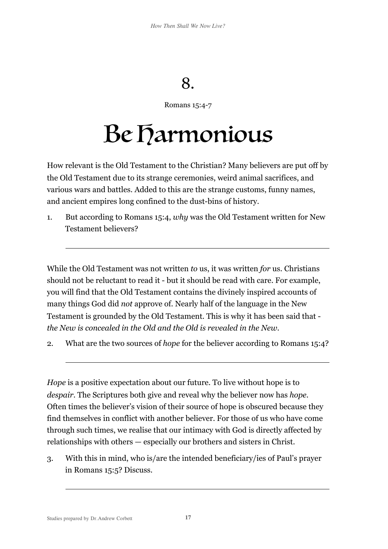## 8.

Romans 15:4-7

## Be Harmonious

How relevant is the Old Testament to the Christian? Many believers are put off by the Old Testament due to its strange ceremonies, weird animal sacrifices, and various wars and battles. Added to this are the strange customs, funny names, and ancient empires long confined to the dust-bins of history.

1. But according to Romans 15:4, *why* was the Old Testament written for New Testament believers?

While the Old Testament was not written *to* us, it was written *for* us. Christians should not be reluctant to read it - but it should be read with care. For example, you will find that the Old Testament contains the divinely inspired accounts of many things God did *not* approve of. Nearly half of the language in the New Testament is grounded by the Old Testament. This is why it has been said that *the New is concealed in the Old and the Old is revealed in the New*.

2. What are the two sources of *hope* for the believer according to Romans 15:4?

*Hope* is a positive expectation about our future. To live without hope is to *despair*. The Scriptures both give and reveal why the believer now has *hope*. Often times the believer's vision of their source of hope is obscured because they find themselves in conflict with another believer. For those of us who have come through such times, we realise that our intimacy with God is directly affected by relationships with others — especially our brothers and sisters in Christ.

3. With this in mind, who is/are the intended beneficiary/ies of Paul's prayer in Romans 15:5? Discuss.

 $\overline{a}$ 

 $\overline{a}$ 

 $\overline{a}$